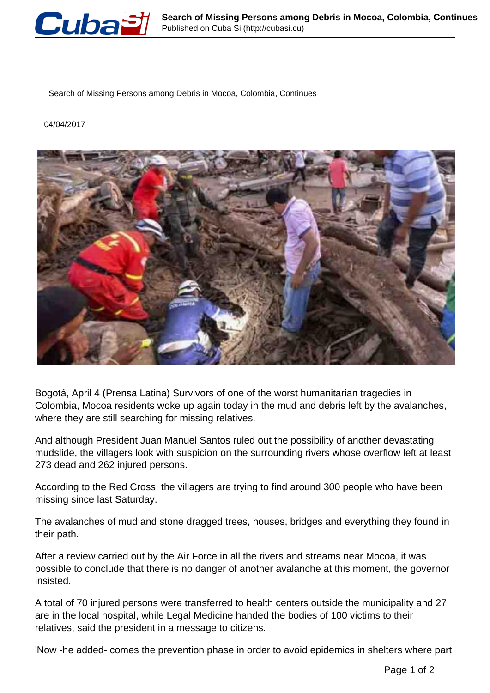

Search of Missing Persons among Debris in Mocoa, Colombia, Continues

04/04/2017



Bogotá, April 4 (Prensa Latina) Survivors of one of the worst humanitarian tragedies in Colombia, Mocoa residents woke up again today in the mud and debris left by the avalanches, where they are still searching for missing relatives.

And although President Juan Manuel Santos ruled out the possibility of another devastating mudslide, the villagers look with suspicion on the surrounding rivers whose overflow left at least 273 dead and 262 injured persons.

According to the Red Cross, the villagers are trying to find around 300 people who have been missing since last Saturday.

The avalanches of mud and stone dragged trees, houses, bridges and everything they found in their path.

After a review carried out by the Air Force in all the rivers and streams near Mocoa, it was possible to conclude that there is no danger of another avalanche at this moment, the governor insisted.

A total of 70 injured persons were transferred to health centers outside the municipality and 27 are in the local hospital, while Legal Medicine handed the bodies of 100 victims to their relatives, said the president in a message to citizens.

'Now -he added- comes the prevention phase in order to avoid epidemics in shelters where part